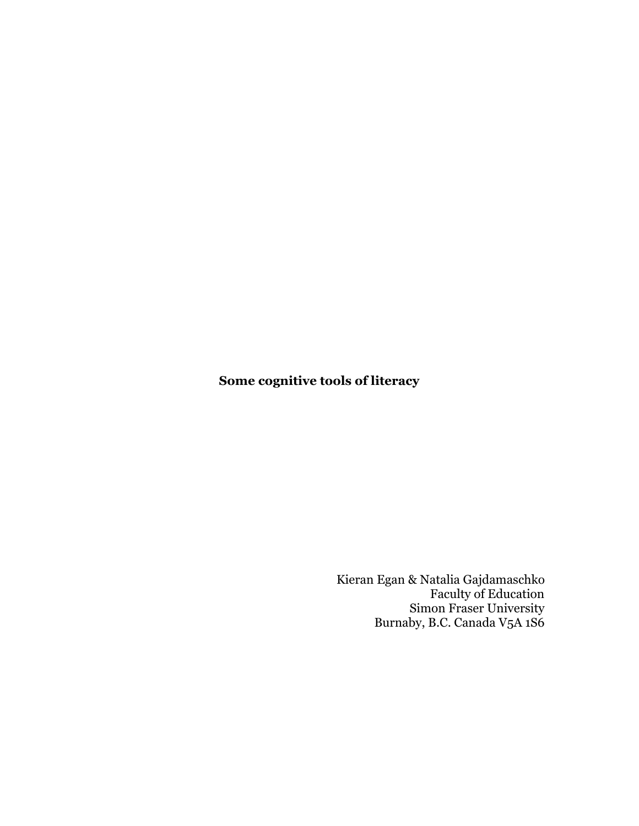**Some cognitive tools of literacy**

Kieran Egan & Natalia Gajdamaschko Faculty of Education Simon Fraser University Burnaby, B.C. Canada V5A 1S6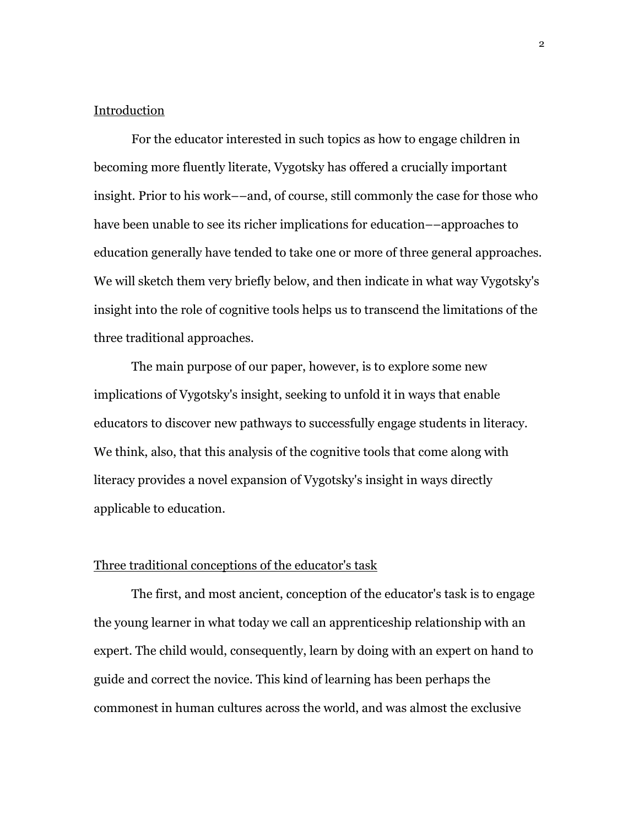## Introduction

For the educator interested in such topics as how to engage children in becoming more fluently literate, Vygotsky has offered a crucially important insight. Prior to his work––and, of course, still commonly the case for those who have been unable to see its richer implications for education-–approaches to education generally have tended to take one or more of three general approaches. We will sketch them very briefly below, and then indicate in what way Vygotsky's insight into the role of cognitive tools helps us to transcend the limitations of the three traditional approaches.

The main purpose of our paper, however, is to explore some new implications of Vygotsky's insight, seeking to unfold it in ways that enable educators to discover new pathways to successfully engage students in literacy. We think, also, that this analysis of the cognitive tools that come along with literacy provides a novel expansion of Vygotsky's insight in ways directly applicable to education.

# Three traditional conceptions of the educator's task

The first, and most ancient, conception of the educator's task is to engage the young learner in what today we call an apprenticeship relationship with an expert. The child would, consequently, learn by doing with an expert on hand to guide and correct the novice. This kind of learning has been perhaps the commonest in human cultures across the world, and was almost the exclusive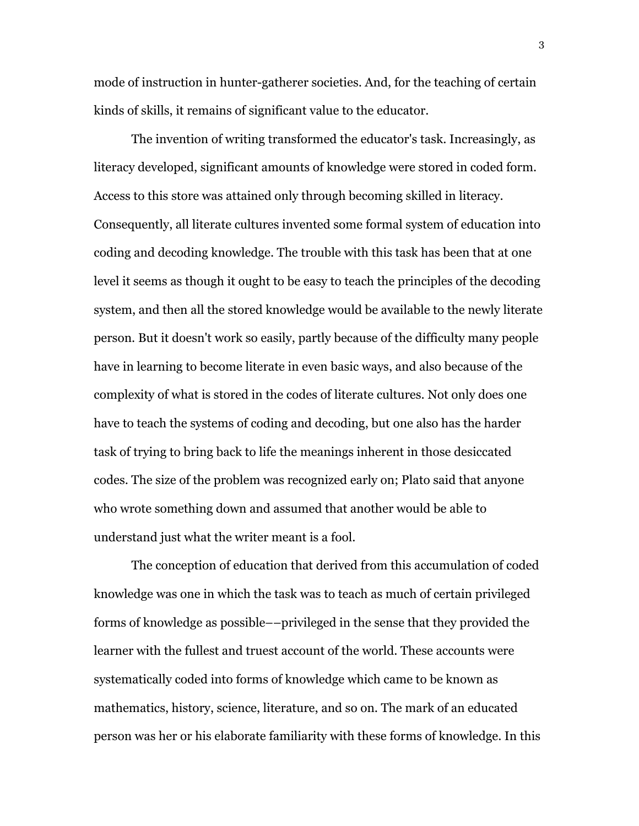mode of instruction in hunter-gatherer societies. And, for the teaching of certain kinds of skills, it remains of significant value to the educator.

The invention of writing transformed the educator's task. Increasingly, as literacy developed, significant amounts of knowledge were stored in coded form. Access to this store was attained only through becoming skilled in literacy. Consequently, all literate cultures invented some formal system of education into coding and decoding knowledge. The trouble with this task has been that at one level it seems as though it ought to be easy to teach the principles of the decoding system, and then all the stored knowledge would be available to the newly literate person. But it doesn't work so easily, partly because of the difficulty many people have in learning to become literate in even basic ways, and also because of the complexity of what is stored in the codes of literate cultures. Not only does one have to teach the systems of coding and decoding, but one also has the harder task of trying to bring back to life the meanings inherent in those desiccated codes. The size of the problem was recognized early on; Plato said that anyone who wrote something down and assumed that another would be able to understand just what the writer meant is a fool.

The conception of education that derived from this accumulation of coded knowledge was one in which the task was to teach as much of certain privileged forms of knowledge as possible––privileged in the sense that they provided the learner with the fullest and truest account of the world. These accounts were systematically coded into forms of knowledge which came to be known as mathematics, history, science, literature, and so on. The mark of an educated person was her or his elaborate familiarity with these forms of knowledge. In this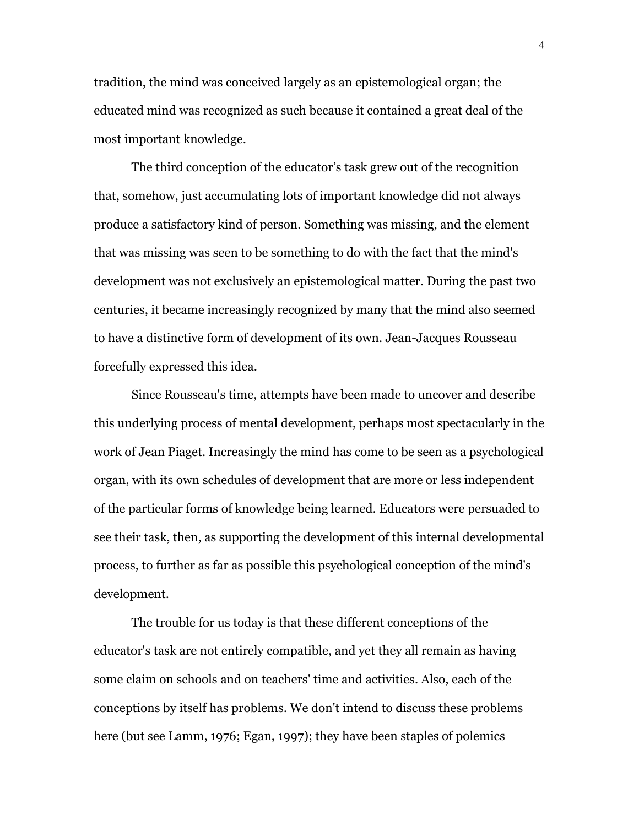tradition, the mind was conceived largely as an epistemological organ; the educated mind was recognized as such because it contained a great deal of the most important knowledge.

The third conception of the educator's task grew out of the recognition that, somehow, just accumulating lots of important knowledge did not always produce a satisfactory kind of person. Something was missing, and the element that was missing was seen to be something to do with the fact that the mind's development was not exclusively an epistemological matter. During the past two centuries, it became increasingly recognized by many that the mind also seemed to have a distinctive form of development of its own. Jean-Jacques Rousseau forcefully expressed this idea.

Since Rousseau's time, attempts have been made to uncover and describe this underlying process of mental development, perhaps most spectacularly in the work of Jean Piaget. Increasingly the mind has come to be seen as a psychological organ, with its own schedules of development that are more or less independent of the particular forms of knowledge being learned. Educators were persuaded to see their task, then, as supporting the development of this internal developmental process, to further as far as possible this psychological conception of the mind's development.

The trouble for us today is that these different conceptions of the educator's task are not entirely compatible, and yet they all remain as having some claim on schools and on teachers' time and activities. Also, each of the conceptions by itself has problems. We don't intend to discuss these problems here (but see Lamm, 1976; Egan, 1997); they have been staples of polemics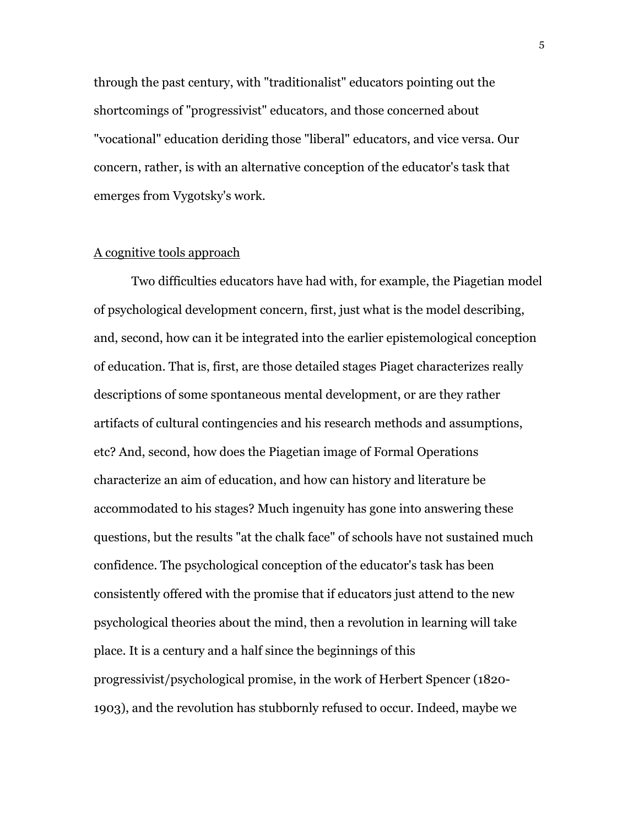through the past century, with "traditionalist" educators pointing out the shortcomings of "progressivist" educators, and those concerned about "vocational" education deriding those "liberal" educators, and vice versa. Our concern, rather, is with an alternative conception of the educator's task that emerges from Vygotsky's work.

# A cognitive tools approach

Two difficulties educators have had with, for example, the Piagetian model of psychological development concern, first, just what is the model describing, and, second, how can it be integrated into the earlier epistemological conception of education. That is, first, are those detailed stages Piaget characterizes really descriptions of some spontaneous mental development, or are they rather artifacts of cultural contingencies and his research methods and assumptions, etc? And, second, how does the Piagetian image of Formal Operations characterize an aim of education, and how can history and literature be accommodated to his stages? Much ingenuity has gone into answering these questions, but the results "at the chalk face" of schools have not sustained much confidence. The psychological conception of the educator's task has been consistently offered with the promise that if educators just attend to the new psychological theories about the mind, then a revolution in learning will take place. It is a century and a half since the beginnings of this progressivist/psychological promise, in the work of Herbert Spencer (1820- 1903), and the revolution has stubbornly refused to occur. Indeed, maybe we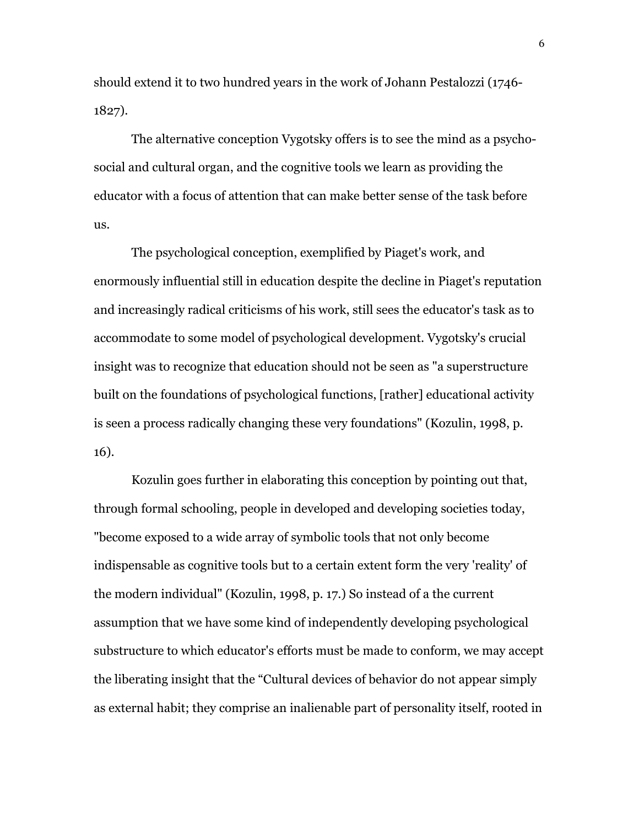should extend it to two hundred years in the work of Johann Pestalozzi (1746- 1827).

The alternative conception Vygotsky offers is to see the mind as a psychosocial and cultural organ, and the cognitive tools we learn as providing the educator with a focus of attention that can make better sense of the task before us.

The psychological conception, exemplified by Piaget's work, and enormously influential still in education despite the decline in Piaget's reputation and increasingly radical criticisms of his work, still sees the educator's task as to accommodate to some model of psychological development. Vygotsky's crucial insight was to recognize that education should not be seen as "a superstructure built on the foundations of psychological functions, [rather] educational activity is seen a process radically changing these very foundations" (Kozulin, 1998, p. 16).

Kozulin goes further in elaborating this conception by pointing out that, through formal schooling, people in developed and developing societies today, "become exposed to a wide array of symbolic tools that not only become indispensable as cognitive tools but to a certain extent form the very 'reality' of the modern individual" (Kozulin, 1998, p. 17.) So instead of a the current assumption that we have some kind of independently developing psychological substructure to which educator's efforts must be made to conform, we may accept the liberating insight that the "Cultural devices of behavior do not appear simply as external habit; they comprise an inalienable part of personality itself, rooted in

6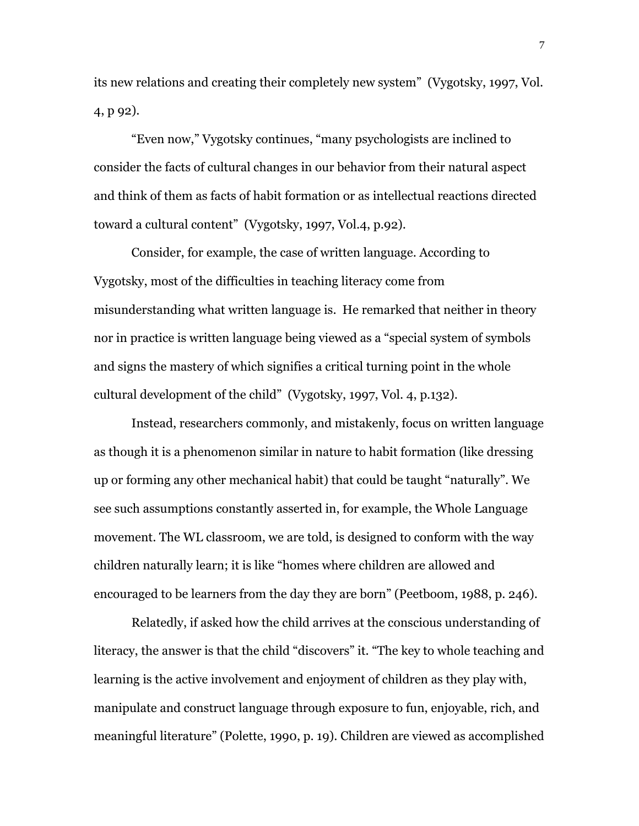its new relations and creating their completely new system" (Vygotsky, 1997, Vol. 4, p 92).

"Even now," Vygotsky continues, "many psychologists are inclined to consider the facts of cultural changes in our behavior from their natural aspect and think of them as facts of habit formation or as intellectual reactions directed toward a cultural content" (Vygotsky, 1997, Vol.4, p.92).

Consider, for example, the case of written language. According to Vygotsky, most of the difficulties in teaching literacy come from misunderstanding what written language is. He remarked that neither in theory nor in practice is written language being viewed as a "special system of symbols and signs the mastery of which signifies a critical turning point in the whole cultural development of the child" (Vygotsky, 1997, Vol. 4, p.132).

Instead, researchers commonly, and mistakenly, focus on written language as though it is a phenomenon similar in nature to habit formation (like dressing up or forming any other mechanical habit) that could be taught "naturally". We see such assumptions constantly asserted in, for example, the Whole Language movement. The WL classroom, we are told, is designed to conform with the way children naturally learn; it is like "homes where children are allowed and encouraged to be learners from the day they are born" (Peetboom, 1988, p. 246).

Relatedly, if asked how the child arrives at the conscious understanding of literacy, the answer is that the child "discovers" it. "The key to whole teaching and learning is the active involvement and enjoyment of children as they play with, manipulate and construct language through exposure to fun, enjoyable, rich, and meaningful literature" (Polette, 1990, p. 19). Children are viewed as accomplished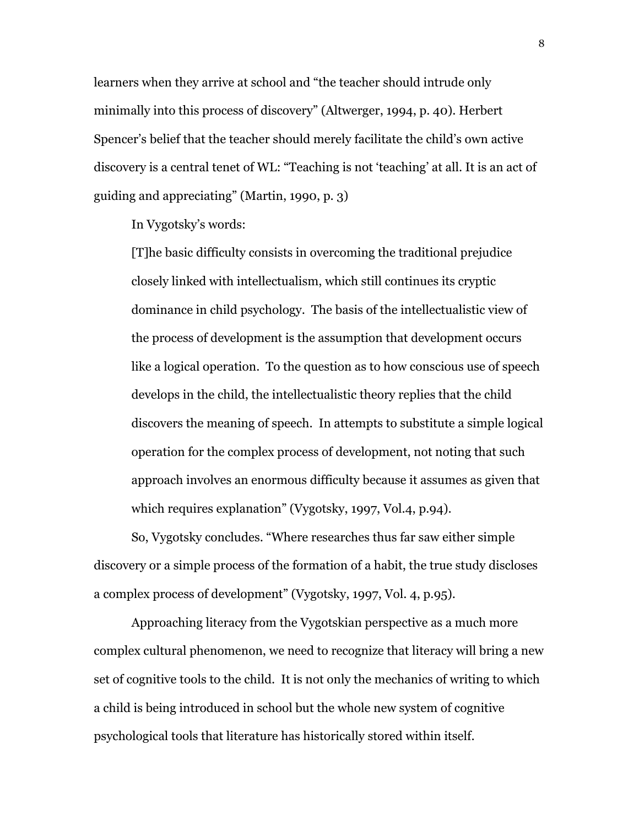learners when they arrive at school and "the teacher should intrude only minimally into this process of discovery" (Altwerger, 1994, p. 40). Herbert Spencer's belief that the teacher should merely facilitate the child's own active discovery is a central tenet of WL: "Teaching is not 'teaching' at all. It is an act of guiding and appreciating" (Martin, 1990, p. 3)

In Vygotsky's words:

[T]he basic difficulty consists in overcoming the traditional prejudice closely linked with intellectualism, which still continues its cryptic dominance in child psychology. The basis of the intellectualistic view of the process of development is the assumption that development occurs like a logical operation. To the question as to how conscious use of speech develops in the child, the intellectualistic theory replies that the child discovers the meaning of speech. In attempts to substitute a simple logical operation for the complex process of development, not noting that such approach involves an enormous difficulty because it assumes as given that which requires explanation" (Vygotsky, 1997, Vol.4, p.94).

So, Vygotsky concludes. "Where researches thus far saw either simple discovery or a simple process of the formation of a habit, the true study discloses a complex process of development" (Vygotsky, 1997, Vol. 4, p.95).

Approaching literacy from the Vygotskian perspective as a much more complex cultural phenomenon, we need to recognize that literacy will bring a new set of cognitive tools to the child. It is not only the mechanics of writing to which a child is being introduced in school but the whole new system of cognitive psychological tools that literature has historically stored within itself.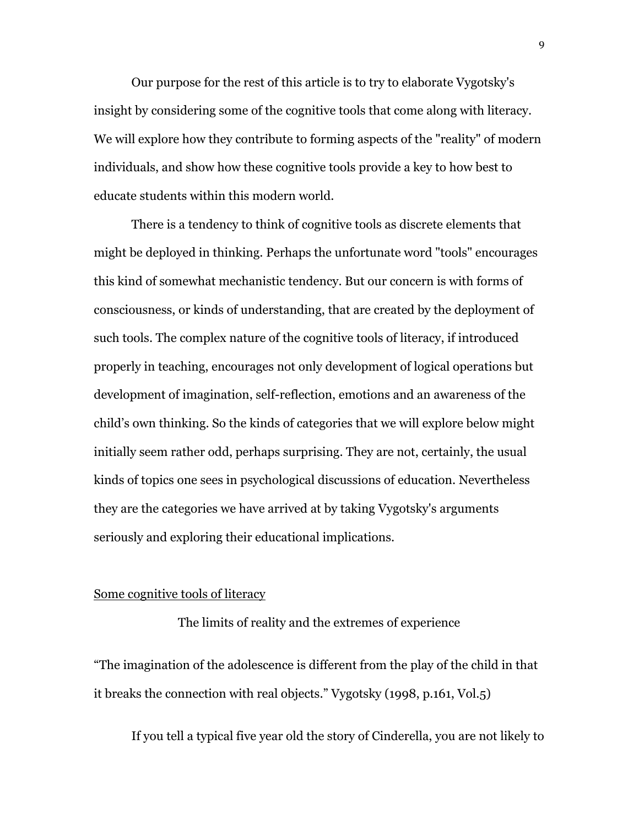Our purpose for the rest of this article is to try to elaborate Vygotsky's insight by considering some of the cognitive tools that come along with literacy. We will explore how they contribute to forming aspects of the "reality" of modern individuals, and show how these cognitive tools provide a key to how best to educate students within this modern world.

There is a tendency to think of cognitive tools as discrete elements that might be deployed in thinking. Perhaps the unfortunate word "tools" encourages this kind of somewhat mechanistic tendency. But our concern is with forms of consciousness, or kinds of understanding, that are created by the deployment of such tools. The complex nature of the cognitive tools of literacy, if introduced properly in teaching, encourages not only development of logical operations but development of imagination, self-reflection, emotions and an awareness of the child's own thinking. So the kinds of categories that we will explore below might initially seem rather odd, perhaps surprising. They are not, certainly, the usual kinds of topics one sees in psychological discussions of education. Nevertheless they are the categories we have arrived at by taking Vygotsky's arguments seriously and exploring their educational implications.

### Some cognitive tools of literacy

The limits of reality and the extremes of experience

"The imagination of the adolescence is different from the play of the child in that it breaks the connection with real objects." Vygotsky (1998, p.161, Vol.5)

If you tell a typical five year old the story of Cinderella, you are not likely to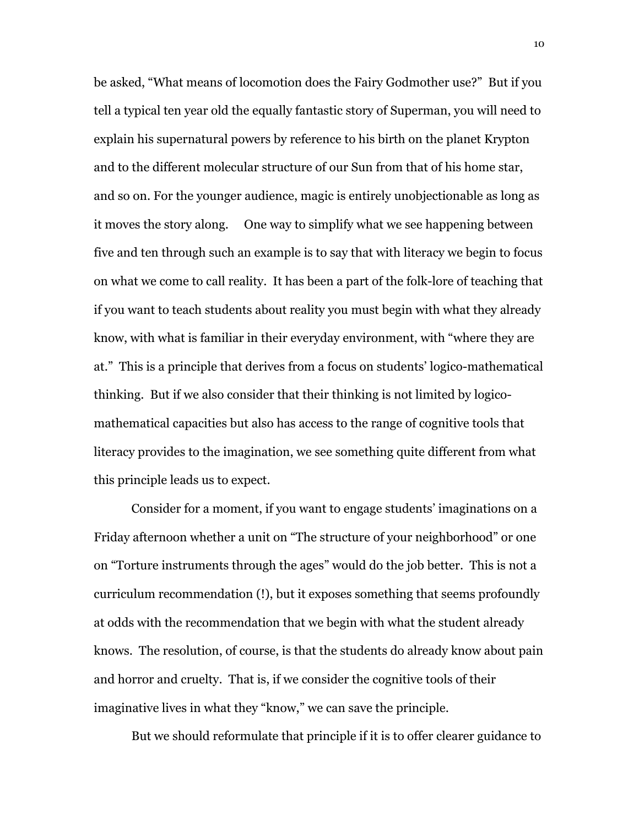be asked, "What means of locomotion does the Fairy Godmother use?" But if you tell a typical ten year old the equally fantastic story of Superman, you will need to explain his supernatural powers by reference to his birth on the planet Krypton and to the different molecular structure of our Sun from that of his home star, and so on. For the younger audience, magic is entirely unobjectionable as long as it moves the story along. One way to simplify what we see happening between five and ten through such an example is to say that with literacy we begin to focus on what we come to call reality. It has been a part of the folk-lore of teaching that if you want to teach students about reality you must begin with what they already know, with what is familiar in their everyday environment, with "where they are at." This is a principle that derives from a focus on students' logico-mathematical thinking. But if we also consider that their thinking is not limited by logicomathematical capacities but also has access to the range of cognitive tools that literacy provides to the imagination, we see something quite different from what this principle leads us to expect.

Consider for a moment, if you want to engage students' imaginations on a Friday afternoon whether a unit on "The structure of your neighborhood" or one on "Torture instruments through the ages" would do the job better. This is not a curriculum recommendation (!), but it exposes something that seems profoundly at odds with the recommendation that we begin with what the student already knows. The resolution, of course, is that the students do already know about pain and horror and cruelty. That is, if we consider the cognitive tools of their imaginative lives in what they "know," we can save the principle.

But we should reformulate that principle if it is to offer clearer guidance to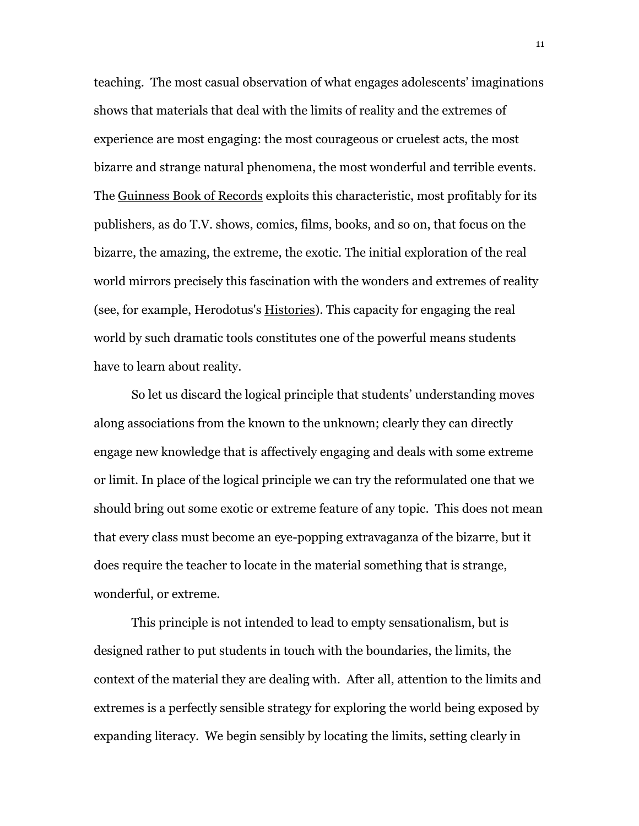teaching. The most casual observation of what engages adolescents' imaginations shows that materials that deal with the limits of reality and the extremes of experience are most engaging: the most courageous or cruelest acts, the most bizarre and strange natural phenomena, the most wonderful and terrible events. The Guinness Book of Records exploits this characteristic, most profitably for its publishers, as do T.V. shows, comics, films, books, and so on, that focus on the bizarre, the amazing, the extreme, the exotic. The initial exploration of the real world mirrors precisely this fascination with the wonders and extremes of reality (see, for example, Herodotus's Histories). This capacity for engaging the real world by such dramatic tools constitutes one of the powerful means students have to learn about reality.

So let us discard the logical principle that students' understanding moves along associations from the known to the unknown; clearly they can directly engage new knowledge that is affectively engaging and deals with some extreme or limit. In place of the logical principle we can try the reformulated one that we should bring out some exotic or extreme feature of any topic. This does not mean that every class must become an eye-popping extravaganza of the bizarre, but it does require the teacher to locate in the material something that is strange, wonderful, or extreme.

This principle is not intended to lead to empty sensationalism, but is designed rather to put students in touch with the boundaries, the limits, the context of the material they are dealing with. After all, attention to the limits and extremes is a perfectly sensible strategy for exploring the world being exposed by expanding literacy. We begin sensibly by locating the limits, setting clearly in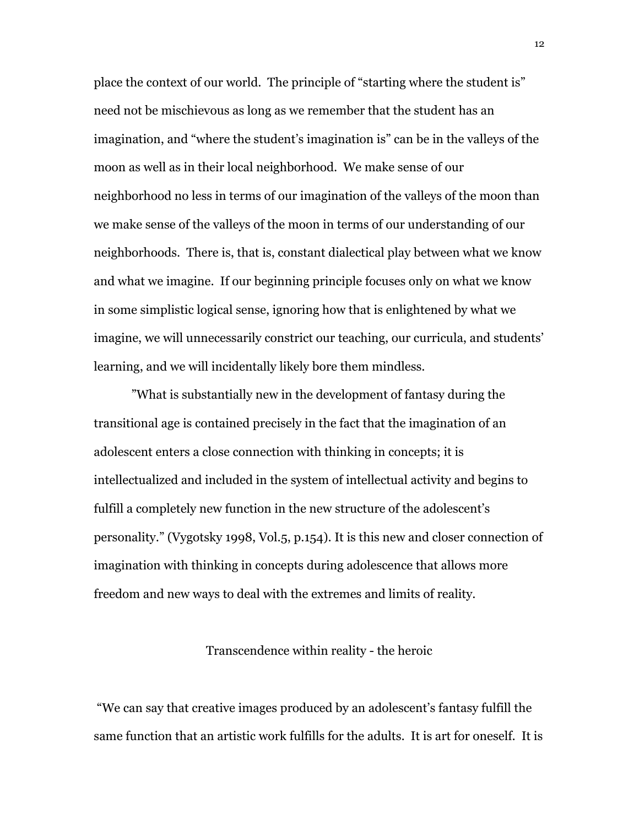place the context of our world. The principle of "starting where the student is" need not be mischievous as long as we remember that the student has an imagination, and "where the student's imagination is" can be in the valleys of the moon as well as in their local neighborhood. We make sense of our neighborhood no less in terms of our imagination of the valleys of the moon than we make sense of the valleys of the moon in terms of our understanding of our neighborhoods. There is, that is, constant dialectical play between what we know and what we imagine. If our beginning principle focuses only on what we know in some simplistic logical sense, ignoring how that is enlightened by what we imagine, we will unnecessarily constrict our teaching, our curricula, and students' learning, and we will incidentally likely bore them mindless.

"What is substantially new in the development of fantasy during the transitional age is contained precisely in the fact that the imagination of an adolescent enters a close connection with thinking in concepts; it is intellectualized and included in the system of intellectual activity and begins to fulfill a completely new function in the new structure of the adolescent's personality." (Vygotsky 1998, Vol.5, p.154). It is this new and closer connection of imagination with thinking in concepts during adolescence that allows more freedom and new ways to deal with the extremes and limits of reality.

# Transcendence within reality - the heroic

 "We can say that creative images produced by an adolescent's fantasy fulfill the same function that an artistic work fulfills for the adults. It is art for oneself. It is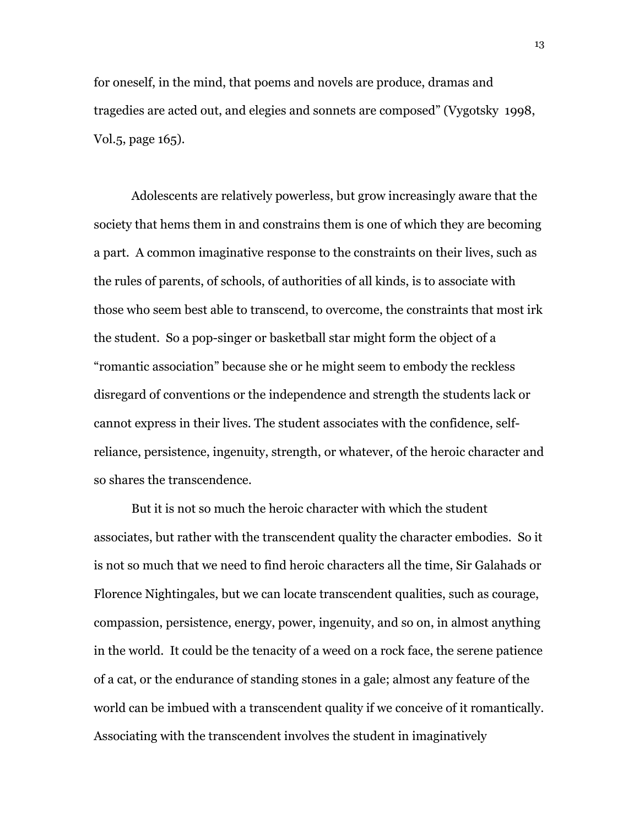for oneself, in the mind, that poems and novels are produce, dramas and tragedies are acted out, and elegies and sonnets are composed" (Vygotsky 1998, Vol.5, page 165).

Adolescents are relatively powerless, but grow increasingly aware that the society that hems them in and constrains them is one of which they are becoming a part. A common imaginative response to the constraints on their lives, such as the rules of parents, of schools, of authorities of all kinds, is to associate with those who seem best able to transcend, to overcome, the constraints that most irk the student. So a pop-singer or basketball star might form the object of a "romantic association" because she or he might seem to embody the reckless disregard of conventions or the independence and strength the students lack or cannot express in their lives. The student associates with the confidence, selfreliance, persistence, ingenuity, strength, or whatever, of the heroic character and so shares the transcendence.

But it is not so much the heroic character with which the student associates, but rather with the transcendent quality the character embodies. So it is not so much that we need to find heroic characters all the time, Sir Galahads or Florence Nightingales, but we can locate transcendent qualities, such as courage, compassion, persistence, energy, power, ingenuity, and so on, in almost anything in the world. It could be the tenacity of a weed on a rock face, the serene patience of a cat, or the endurance of standing stones in a gale; almost any feature of the world can be imbued with a transcendent quality if we conceive of it romantically. Associating with the transcendent involves the student in imaginatively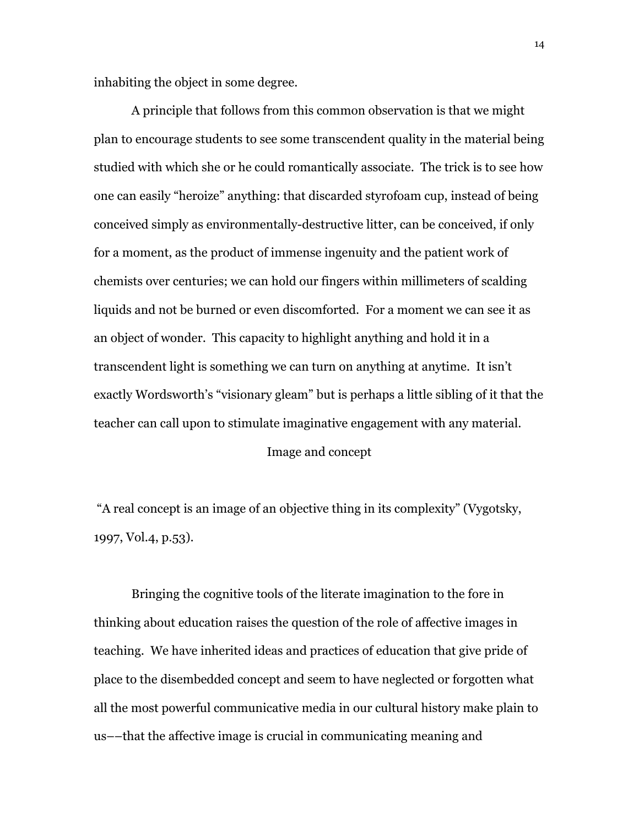inhabiting the object in some degree.

A principle that follows from this common observation is that we might plan to encourage students to see some transcendent quality in the material being studied with which she or he could romantically associate. The trick is to see how one can easily "heroize" anything: that discarded styrofoam cup, instead of being conceived simply as environmentally-destructive litter, can be conceived, if only for a moment, as the product of immense ingenuity and the patient work of chemists over centuries; we can hold our fingers within millimeters of scalding liquids and not be burned or even discomforted. For a moment we can see it as an object of wonder. This capacity to highlight anything and hold it in a transcendent light is something we can turn on anything at anytime. It isn't exactly Wordsworth's "visionary gleam" but is perhaps a little sibling of it that the teacher can call upon to stimulate imaginative engagement with any material. Image and concept

 "A real concept is an image of an objective thing in its complexity" (Vygotsky, 1997, Vol.4, p.53).

Bringing the cognitive tools of the literate imagination to the fore in thinking about education raises the question of the role of affective images in teaching. We have inherited ideas and practices of education that give pride of place to the disembedded concept and seem to have neglected or forgotten what all the most powerful communicative media in our cultural history make plain to us––that the affective image is crucial in communicating meaning and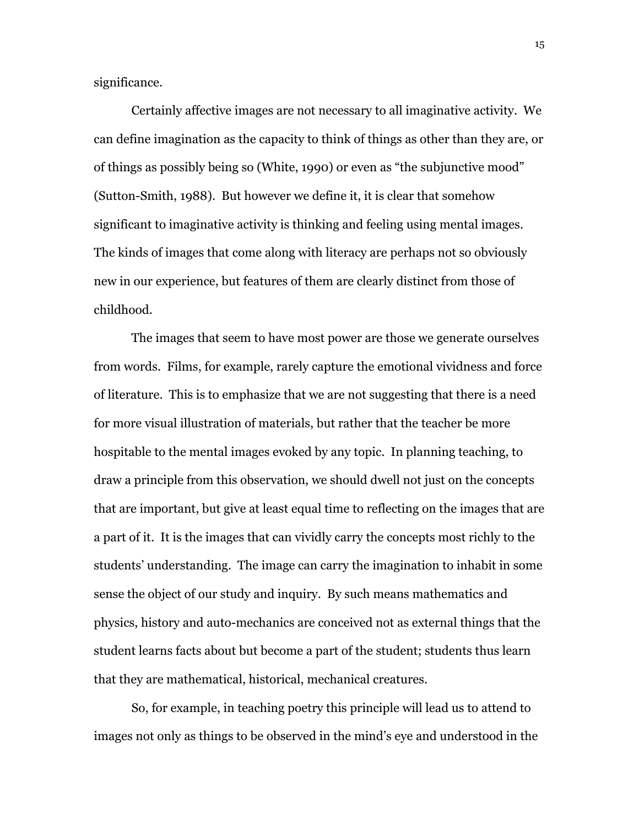significance.

Certainly affective images are not necessary to all imaginative activity. We can define imagination as the capacity to think of things as other than they are, or of things as possibly being so (White, 1990) or even as "the subjunctive mood" (Sutton-Smith, 1988). But however we define it, it is clear that somehow significant to imaginative activity is thinking and feeling using mental images. The kinds of images that come along with literacy are perhaps not so obviously new in our experience, but features of them are clearly distinct from those of childhood.

The images that seem to have most power are those we generate ourselves from words. Films, for example, rarely capture the emotional vividness and force of literature. This is to emphasize that we are not suggesting that there is a need for more visual illustration of materials, but rather that the teacher be more hospitable to the mental images evoked by any topic. In planning teaching, to draw a principle from this observation, we should dwell not just on the concepts that are important, but give at least equal time to reflecting on the images that are a part of it. It is the images that can vividly carry the concepts most richly to the students' understanding. The image can carry the imagination to inhabit in some sense the object of our study and inquiry. By such means mathematics and physics, history and auto-mechanics are conceived not as external things that the student learns facts about but become a part of the student; students thus learn that they are mathematical, historical, mechanical creatures.

So, for example, in teaching poetry this principle will lead us to attend to images not only as things to be observed in the mind's eye and understood in the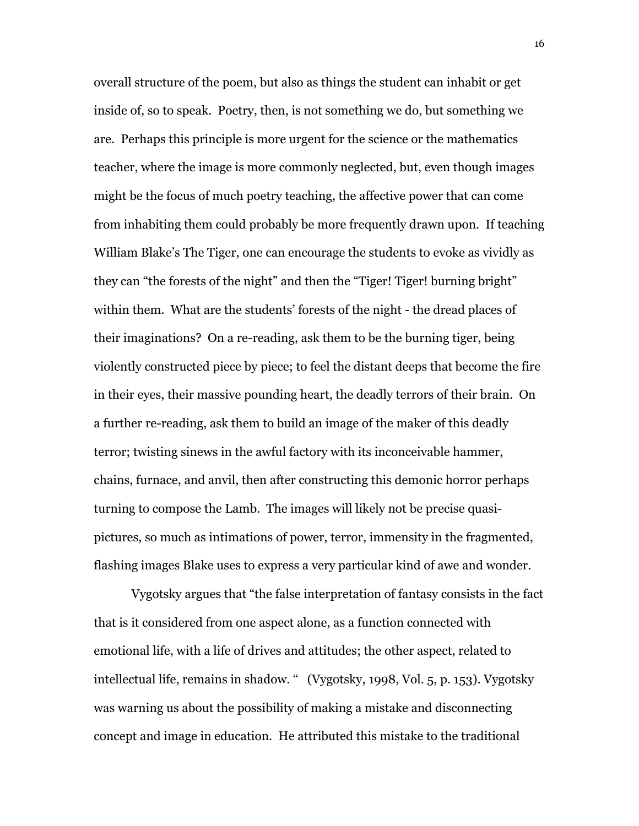overall structure of the poem, but also as things the student can inhabit or get inside of, so to speak. Poetry, then, is not something we do, but something we are. Perhaps this principle is more urgent for the science or the mathematics teacher, where the image is more commonly neglected, but, even though images might be the focus of much poetry teaching, the affective power that can come from inhabiting them could probably be more frequently drawn upon. If teaching William Blake's The Tiger, one can encourage the students to evoke as vividly as they can "the forests of the night" and then the "Tiger! Tiger! burning bright" within them. What are the students' forests of the night - the dread places of their imaginations? On a re-reading, ask them to be the burning tiger, being violently constructed piece by piece; to feel the distant deeps that become the fire in their eyes, their massive pounding heart, the deadly terrors of their brain. On a further re-reading, ask them to build an image of the maker of this deadly terror; twisting sinews in the awful factory with its inconceivable hammer, chains, furnace, and anvil, then after constructing this demonic horror perhaps turning to compose the Lamb. The images will likely not be precise quasipictures, so much as intimations of power, terror, immensity in the fragmented, flashing images Blake uses to express a very particular kind of awe and wonder.

Vygotsky argues that "the false interpretation of fantasy consists in the fact that is it considered from one aspect alone, as a function connected with emotional life, with a life of drives and attitudes; the other aspect, related to intellectual life, remains in shadow. " (Vygotsky, 1998, Vol. 5, p. 153). Vygotsky was warning us about the possibility of making a mistake and disconnecting concept and image in education. He attributed this mistake to the traditional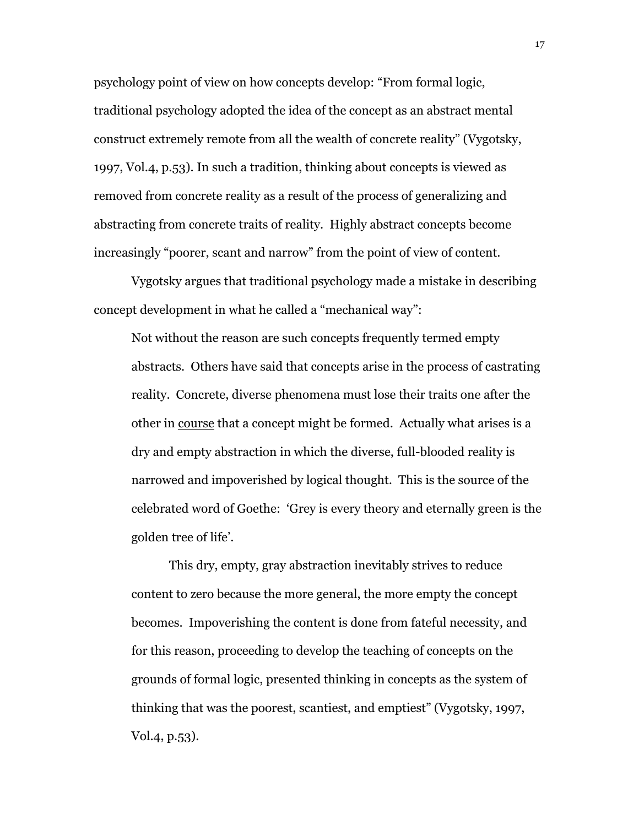psychology point of view on how concepts develop: "From formal logic, traditional psychology adopted the idea of the concept as an abstract mental construct extremely remote from all the wealth of concrete reality" (Vygotsky, 1997, Vol.4, p.53). In such a tradition, thinking about concepts is viewed as removed from concrete reality as a result of the process of generalizing and abstracting from concrete traits of reality. Highly abstract concepts become increasingly "poorer, scant and narrow" from the point of view of content.

Vygotsky argues that traditional psychology made a mistake in describing concept development in what he called a "mechanical way":

Not without the reason are such concepts frequently termed empty abstracts. Others have said that concepts arise in the process of castrating reality. Concrete, diverse phenomena must lose their traits one after the other in course that a concept might be formed. Actually what arises is a dry and empty abstraction in which the diverse, full-blooded reality is narrowed and impoverished by logical thought. This is the source of the celebrated word of Goethe: 'Grey is every theory and eternally green is the golden tree of life'.

This dry, empty, gray abstraction inevitably strives to reduce content to zero because the more general, the more empty the concept becomes. Impoverishing the content is done from fateful necessity, and for this reason, proceeding to develop the teaching of concepts on the grounds of formal logic, presented thinking in concepts as the system of thinking that was the poorest, scantiest, and emptiest" (Vygotsky, 1997, Vol.4, p.53).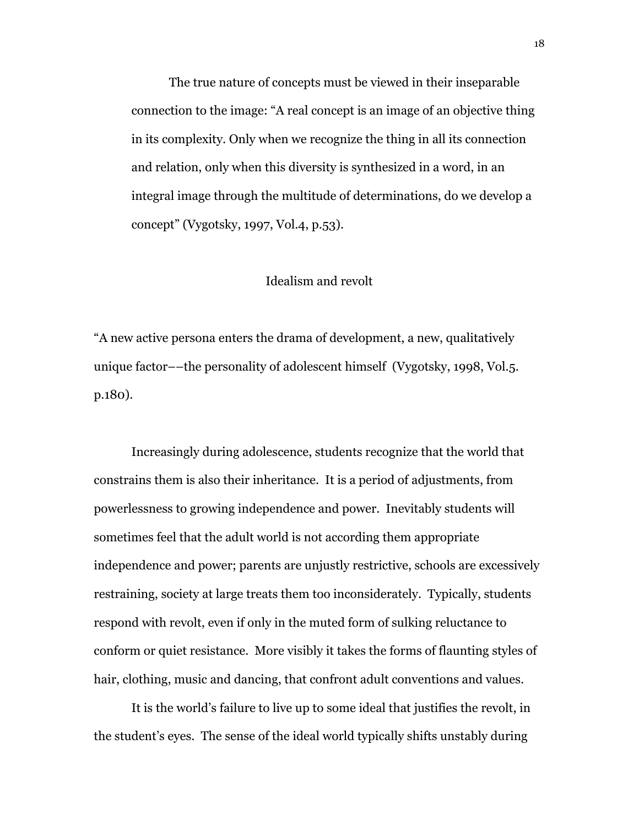The true nature of concepts must be viewed in their inseparable connection to the image: "A real concept is an image of an objective thing in its complexity. Only when we recognize the thing in all its connection and relation, only when this diversity is synthesized in a word, in an integral image through the multitude of determinations, do we develop a concept" (Vygotsky, 1997, Vol.4, p.53).

## Idealism and revolt

"A new active persona enters the drama of development, a new, qualitatively unique factor––the personality of adolescent himself (Vygotsky, 1998, Vol.5. p.180).

Increasingly during adolescence, students recognize that the world that constrains them is also their inheritance. It is a period of adjustments, from powerlessness to growing independence and power. Inevitably students will sometimes feel that the adult world is not according them appropriate independence and power; parents are unjustly restrictive, schools are excessively restraining, society at large treats them too inconsiderately. Typically, students respond with revolt, even if only in the muted form of sulking reluctance to conform or quiet resistance. More visibly it takes the forms of flaunting styles of hair, clothing, music and dancing, that confront adult conventions and values.

It is the world's failure to live up to some ideal that justifies the revolt, in the student's eyes. The sense of the ideal world typically shifts unstably during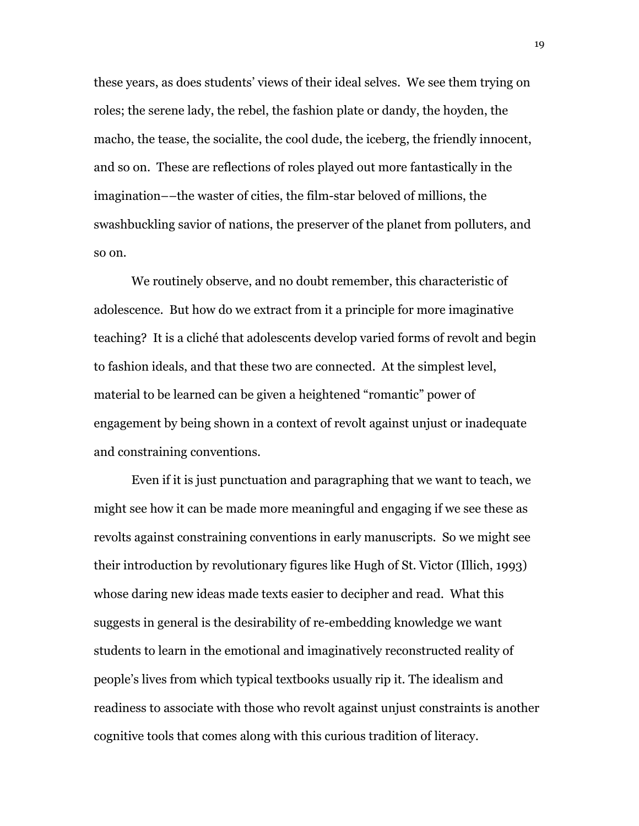these years, as does students' views of their ideal selves. We see them trying on roles; the serene lady, the rebel, the fashion plate or dandy, the hoyden, the macho, the tease, the socialite, the cool dude, the iceberg, the friendly innocent, and so on. These are reflections of roles played out more fantastically in the imagination––the waster of cities, the film-star beloved of millions, the swashbuckling savior of nations, the preserver of the planet from polluters, and so on.

We routinely observe, and no doubt remember, this characteristic of adolescence. But how do we extract from it a principle for more imaginative teaching? It is a cliché that adolescents develop varied forms of revolt and begin to fashion ideals, and that these two are connected. At the simplest level, material to be learned can be given a heightened "romantic" power of engagement by being shown in a context of revolt against unjust or inadequate and constraining conventions.

Even if it is just punctuation and paragraphing that we want to teach, we might see how it can be made more meaningful and engaging if we see these as revolts against constraining conventions in early manuscripts. So we might see their introduction by revolutionary figures like Hugh of St. Victor (Illich, 1993) whose daring new ideas made texts easier to decipher and read. What this suggests in general is the desirability of re-embedding knowledge we want students to learn in the emotional and imaginatively reconstructed reality of people's lives from which typical textbooks usually rip it. The idealism and readiness to associate with those who revolt against unjust constraints is another cognitive tools that comes along with this curious tradition of literacy.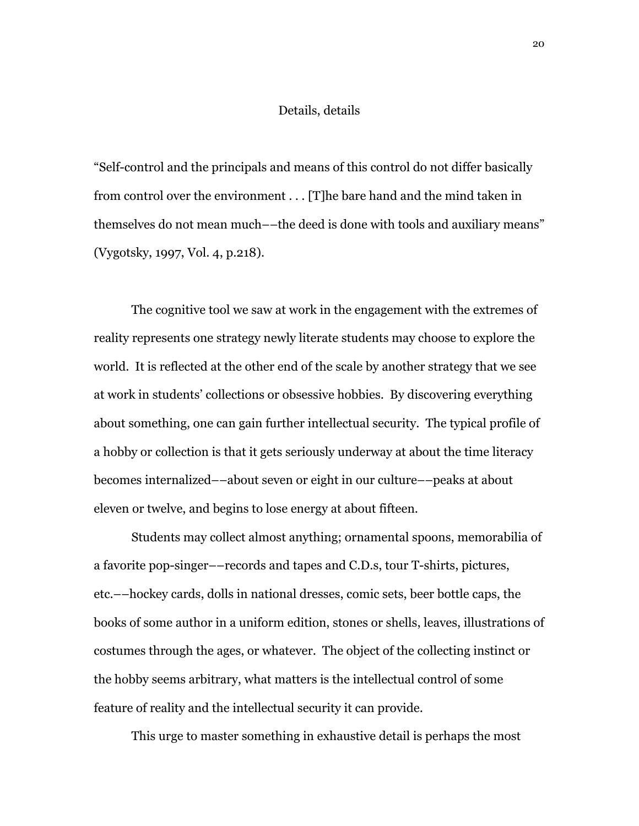#### Details, details

"Self-control and the principals and means of this control do not differ basically from control over the environment . . . [T]he bare hand and the mind taken in themselves do not mean much––the deed is done with tools and auxiliary means" (Vygotsky, 1997, Vol. 4, p.218).

The cognitive tool we saw at work in the engagement with the extremes of reality represents one strategy newly literate students may choose to explore the world. It is reflected at the other end of the scale by another strategy that we see at work in students' collections or obsessive hobbies. By discovering everything about something, one can gain further intellectual security. The typical profile of a hobby or collection is that it gets seriously underway at about the time literacy becomes internalized––about seven or eight in our culture––peaks at about eleven or twelve, and begins to lose energy at about fifteen.

Students may collect almost anything; ornamental spoons, memorabilia of a favorite pop-singer––records and tapes and C.D.s, tour T-shirts, pictures, etc.––hockey cards, dolls in national dresses, comic sets, beer bottle caps, the books of some author in a uniform edition, stones or shells, leaves, illustrations of costumes through the ages, or whatever. The object of the collecting instinct or the hobby seems arbitrary, what matters is the intellectual control of some feature of reality and the intellectual security it can provide.

This urge to master something in exhaustive detail is perhaps the most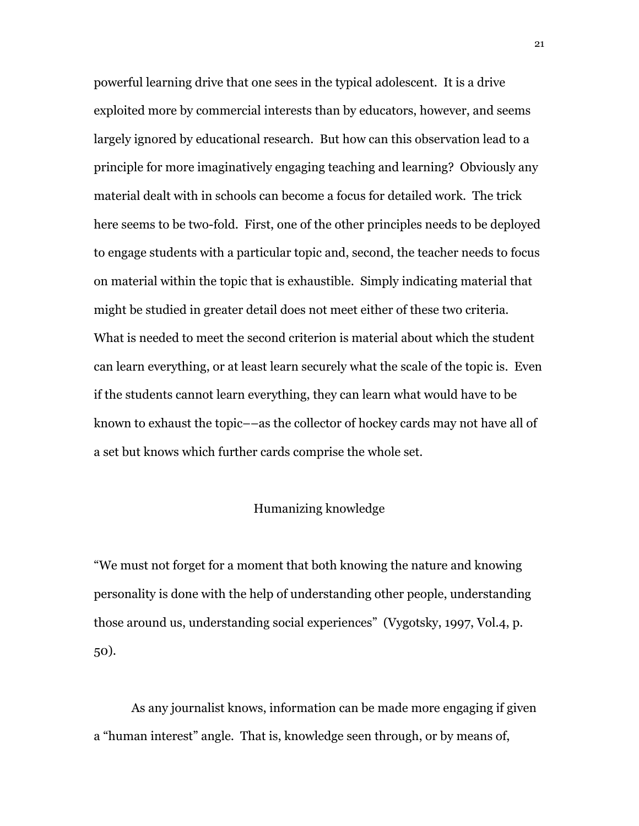powerful learning drive that one sees in the typical adolescent. It is a drive exploited more by commercial interests than by educators, however, and seems largely ignored by educational research. But how can this observation lead to a principle for more imaginatively engaging teaching and learning? Obviously any material dealt with in schools can become a focus for detailed work. The trick here seems to be two-fold. First, one of the other principles needs to be deployed to engage students with a particular topic and, second, the teacher needs to focus on material within the topic that is exhaustible. Simply indicating material that might be studied in greater detail does not meet either of these two criteria. What is needed to meet the second criterion is material about which the student can learn everything, or at least learn securely what the scale of the topic is. Even if the students cannot learn everything, they can learn what would have to be known to exhaust the topic––as the collector of hockey cards may not have all of a set but knows which further cards comprise the whole set.

### Humanizing knowledge

"We must not forget for a moment that both knowing the nature and knowing personality is done with the help of understanding other people, understanding those around us, understanding social experiences" (Vygotsky, 1997, Vol.4, p. 50).

As any journalist knows, information can be made more engaging if given a "human interest" angle. That is, knowledge seen through, or by means of,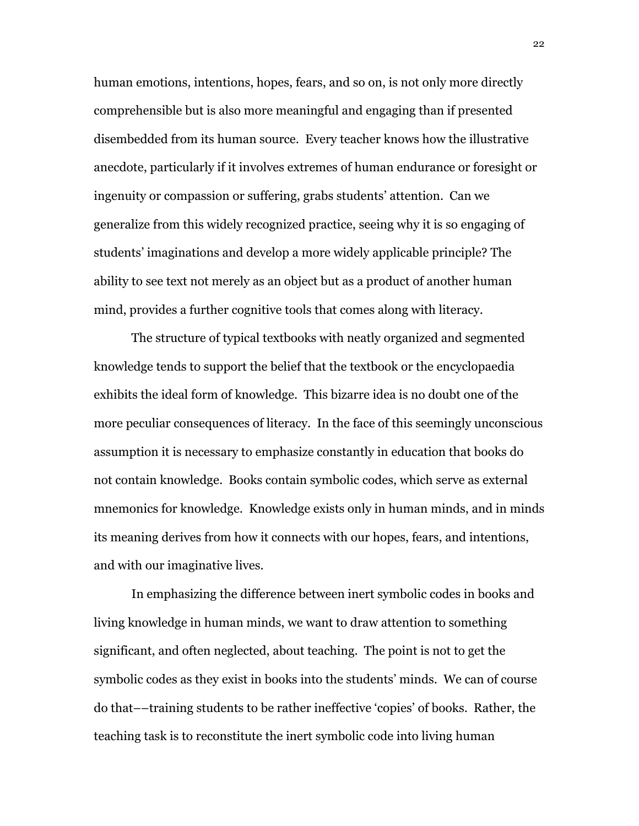human emotions, intentions, hopes, fears, and so on, is not only more directly comprehensible but is also more meaningful and engaging than if presented disembedded from its human source. Every teacher knows how the illustrative anecdote, particularly if it involves extremes of human endurance or foresight or ingenuity or compassion or suffering, grabs students' attention. Can we generalize from this widely recognized practice, seeing why it is so engaging of students' imaginations and develop a more widely applicable principle? The ability to see text not merely as an object but as a product of another human mind, provides a further cognitive tools that comes along with literacy.

The structure of typical textbooks with neatly organized and segmented knowledge tends to support the belief that the textbook or the encyclopaedia exhibits the ideal form of knowledge. This bizarre idea is no doubt one of the more peculiar consequences of literacy. In the face of this seemingly unconscious assumption it is necessary to emphasize constantly in education that books do not contain knowledge. Books contain symbolic codes, which serve as external mnemonics for knowledge. Knowledge exists only in human minds, and in minds its meaning derives from how it connects with our hopes, fears, and intentions, and with our imaginative lives.

In emphasizing the difference between inert symbolic codes in books and living knowledge in human minds, we want to draw attention to something significant, and often neglected, about teaching. The point is not to get the symbolic codes as they exist in books into the students' minds. We can of course do that––training students to be rather ineffective 'copies' of books. Rather, the teaching task is to reconstitute the inert symbolic code into living human

22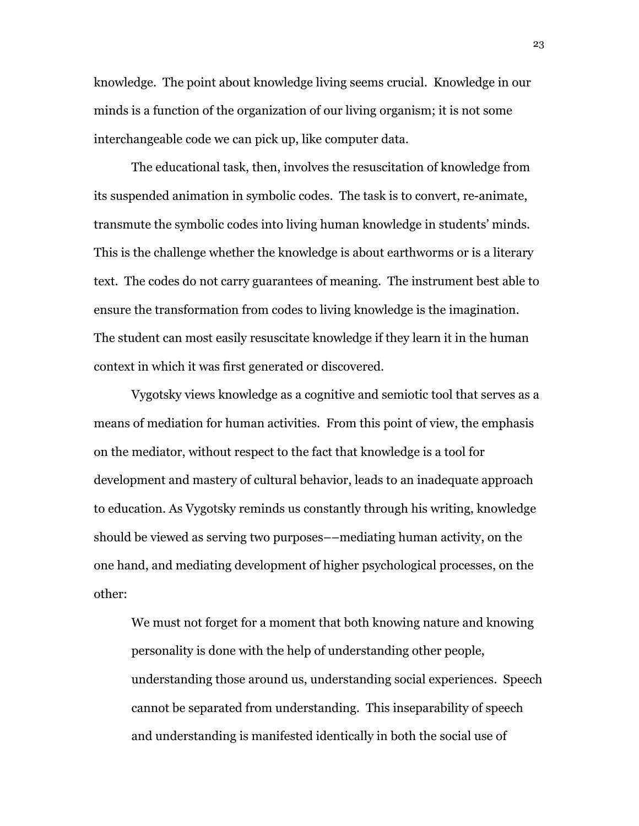knowledge. The point about knowledge living seems crucial. Knowledge in our minds is a function of the organization of our living organism; it is not some interchangeable code we can pick up, like computer data.

The educational task, then, involves the resuscitation of knowledge from its suspended animation in symbolic codes. The task is to convert, re-animate, transmute the symbolic codes into living human knowledge in students' minds. This is the challenge whether the knowledge is about earthworms or is a literary text. The codes do not carry guarantees of meaning. The instrument best able to ensure the transformation from codes to living knowledge is the imagination. The student can most easily resuscitate knowledge if they learn it in the human context in which it was first generated or discovered.

Vygotsky views knowledge as a cognitive and semiotic tool that serves as a means of mediation for human activities. From this point of view, the emphasis on the mediator, without respect to the fact that knowledge is a tool for development and mastery of cultural behavior, leads to an inadequate approach to education. As Vygotsky reminds us constantly through his writing, knowledge should be viewed as serving two purposes––mediating human activity, on the one hand, and mediating development of higher psychological processes, on the other:

We must not forget for a moment that both knowing nature and knowing personality is done with the help of understanding other people, understanding those around us, understanding social experiences. Speech cannot be separated from understanding. This inseparability of speech and understanding is manifested identically in both the social use of

23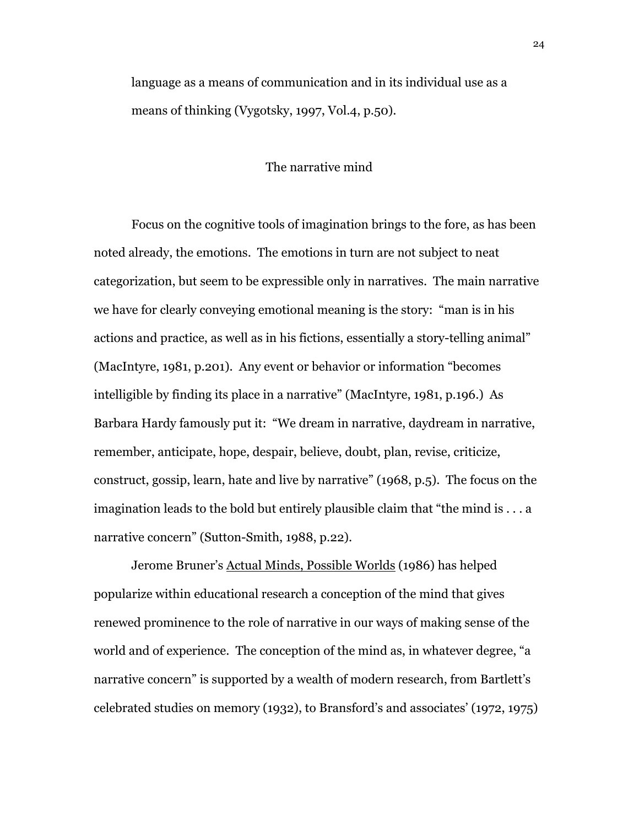language as a means of communication and in its individual use as a means of thinking (Vygotsky, 1997, Vol.4, p.50).

## The narrative mind

Focus on the cognitive tools of imagination brings to the fore, as has been noted already, the emotions. The emotions in turn are not subject to neat categorization, but seem to be expressible only in narratives. The main narrative we have for clearly conveying emotional meaning is the story: "man is in his actions and practice, as well as in his fictions, essentially a story-telling animal" (MacIntyre, 1981, p.201). Any event or behavior or information "becomes intelligible by finding its place in a narrative" (MacIntyre, 1981, p.196.) As Barbara Hardy famously put it: "We dream in narrative, daydream in narrative, remember, anticipate, hope, despair, believe, doubt, plan, revise, criticize, construct, gossip, learn, hate and live by narrative" (1968, p.5). The focus on the imagination leads to the bold but entirely plausible claim that "the mind is . . . a narrative concern" (Sutton-Smith, 1988, p.22).

Jerome Bruner's Actual Minds, Possible Worlds (1986) has helped popularize within educational research a conception of the mind that gives renewed prominence to the role of narrative in our ways of making sense of the world and of experience. The conception of the mind as, in whatever degree, "a narrative concern" is supported by a wealth of modern research, from Bartlett's celebrated studies on memory (1932), to Bransford's and associates' (1972, 1975)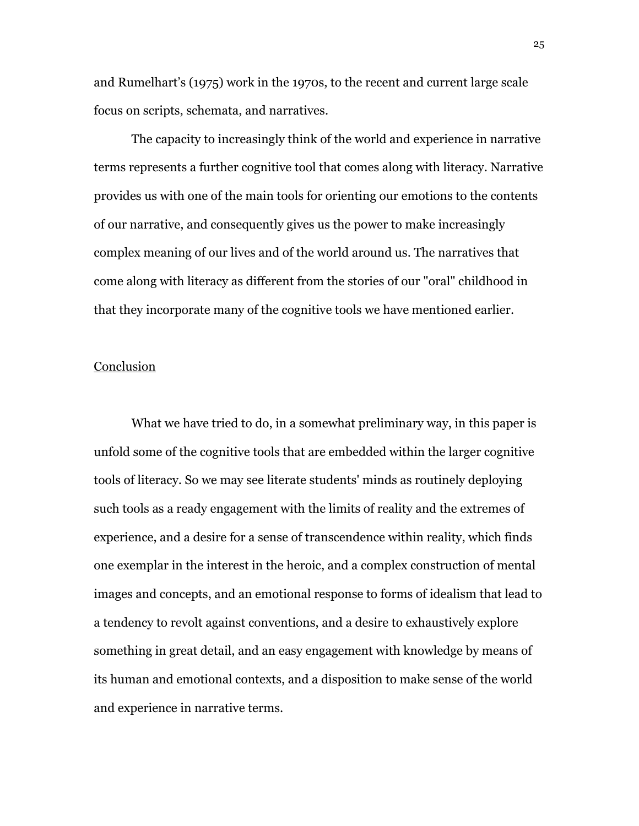and Rumelhart's (1975) work in the 1970s, to the recent and current large scale focus on scripts, schemata, and narratives.

The capacity to increasingly think of the world and experience in narrative terms represents a further cognitive tool that comes along with literacy. Narrative provides us with one of the main tools for orienting our emotions to the contents of our narrative, and consequently gives us the power to make increasingly complex meaning of our lives and of the world around us. The narratives that come along with literacy as different from the stories of our "oral" childhood in that they incorporate many of the cognitive tools we have mentioned earlier.

#### **Conclusion**

What we have tried to do, in a somewhat preliminary way, in this paper is unfold some of the cognitive tools that are embedded within the larger cognitive tools of literacy. So we may see literate students' minds as routinely deploying such tools as a ready engagement with the limits of reality and the extremes of experience, and a desire for a sense of transcendence within reality, which finds one exemplar in the interest in the heroic, and a complex construction of mental images and concepts, and an emotional response to forms of idealism that lead to a tendency to revolt against conventions, and a desire to exhaustively explore something in great detail, and an easy engagement with knowledge by means of its human and emotional contexts, and a disposition to make sense of the world and experience in narrative terms.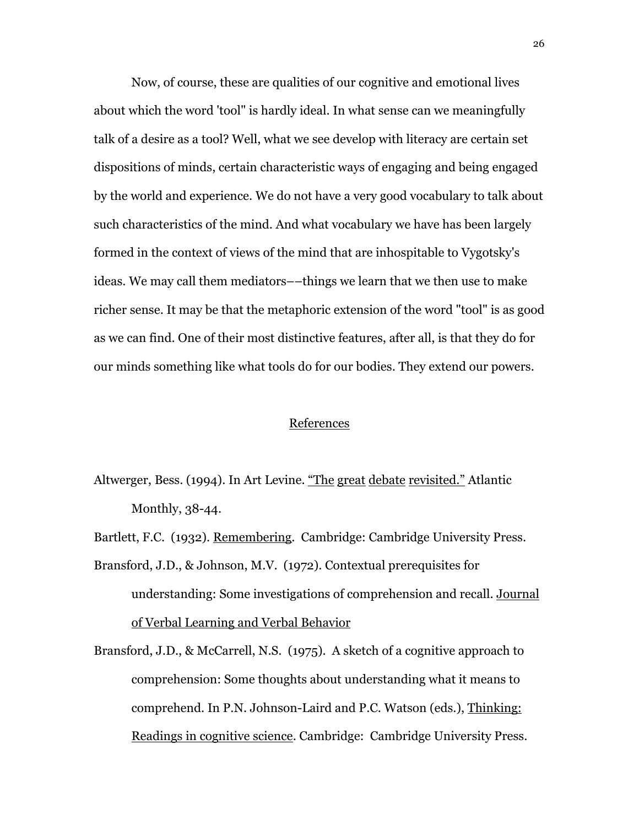Now, of course, these are qualities of our cognitive and emotional lives about which the word 'tool" is hardly ideal. In what sense can we meaningfully talk of a desire as a tool? Well, what we see develop with literacy are certain set dispositions of minds, certain characteristic ways of engaging and being engaged by the world and experience. We do not have a very good vocabulary to talk about such characteristics of the mind. And what vocabulary we have has been largely formed in the context of views of the mind that are inhospitable to Vygotsky's ideas. We may call them mediators––things we learn that we then use to make richer sense. It may be that the metaphoric extension of the word "tool" is as good as we can find. One of their most distinctive features, after all, is that they do for our minds something like what tools do for our bodies. They extend our powers.

### References

- Altwerger, Bess. (1994). In Art Levine. "The great debate revisited." Atlantic Monthly, 38-44.
- Bartlett, F.C. (1932). Remembering. Cambridge: Cambridge University Press.
- Bransford, J.D., & Johnson, M.V. (1972). Contextual prerequisites for understanding: Some investigations of comprehension and recall. Journal of Verbal Learning and Verbal Behavior
- Bransford, J.D., & McCarrell, N.S. (1975). A sketch of a cognitive approach to comprehension: Some thoughts about understanding what it means to comprehend. In P.N. Johnson-Laird and P.C. Watson (eds.), Thinking: Readings in cognitive science. Cambridge: Cambridge University Press.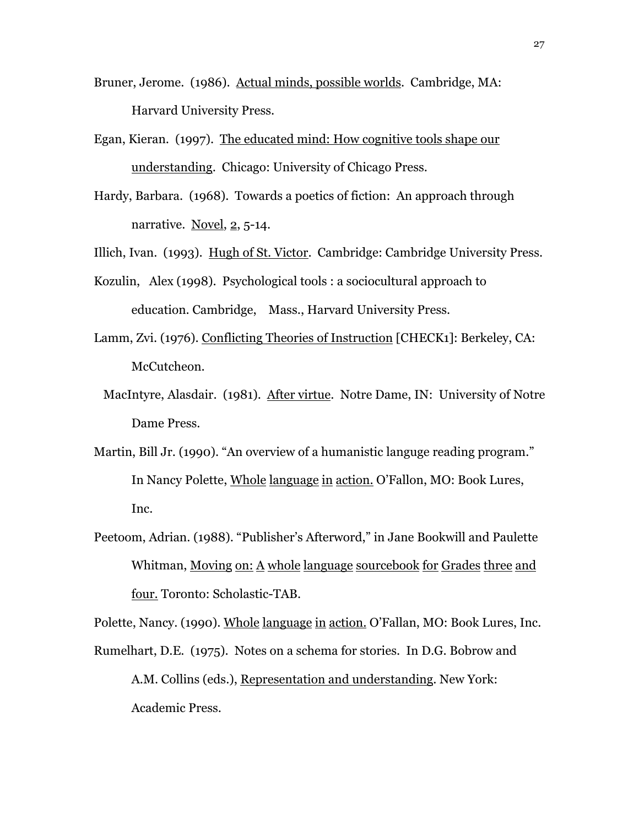- Bruner, Jerome. (1986). Actual minds, possible worlds. Cambridge, MA: Harvard University Press.
- Egan, Kieran. (1997). The educated mind: How cognitive tools shape our understanding. Chicago: University of Chicago Press.
- Hardy, Barbara. (1968). Towards a poetics of fiction: An approach through narrative. Novel, 2, 5-14.
- Illich, Ivan. (1993). Hugh of St. Victor. Cambridge: Cambridge University Press.
- Kozulin, Alex (1998). Psychological tools : a sociocultural approach to education. Cambridge, Mass., Harvard University Press.
- Lamm, Zvi. (1976). Conflicting Theories of Instruction [CHECK1]: Berkeley, CA: McCutcheon.
	- MacIntyre, Alasdair. (1981). After virtue. Notre Dame, IN: University of Notre Dame Press.
- Martin, Bill Jr. (1990). "An overview of a humanistic languge reading program." In Nancy Polette, Whole language in action. O'Fallon, MO: Book Lures, Inc.
- Peetoom, Adrian. (1988). "Publisher's Afterword," in Jane Bookwill and Paulette Whitman, Moving on: A whole language sourcebook for Grades three and four. Toronto: Scholastic-TAB.

Polette, Nancy. (1990). Whole language in action. O'Fallan, MO: Book Lures, Inc.

Rumelhart, D.E. (1975). Notes on a schema for stories. In D.G. Bobrow and A.M. Collins (eds.), Representation and understanding. New York: Academic Press.